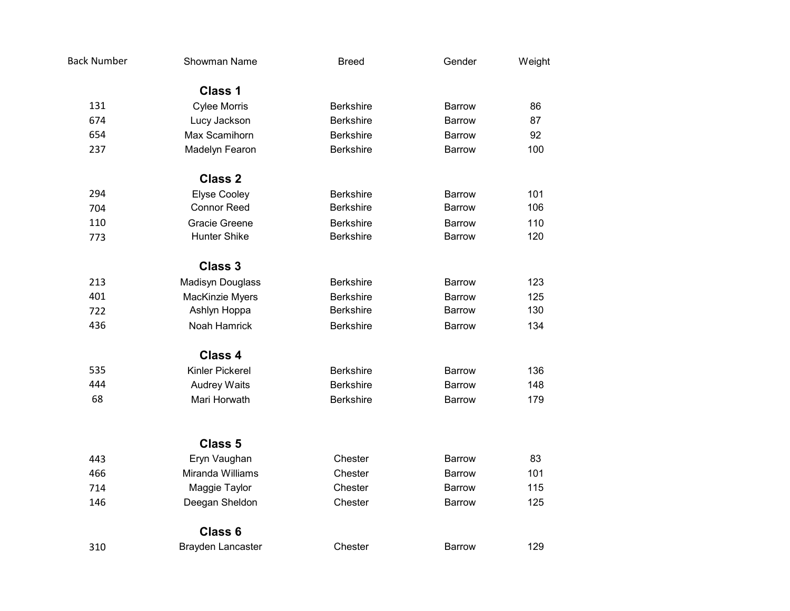| <b>Back Number</b> | Showman Name             | <b>Breed</b>     | Gender        | Weight |
|--------------------|--------------------------|------------------|---------------|--------|
|                    | <b>Class 1</b>           |                  |               |        |
| 131                | <b>Cylee Morris</b>      | <b>Berkshire</b> | <b>Barrow</b> | 86     |
| 674                | Lucy Jackson             | <b>Berkshire</b> | <b>Barrow</b> | 87     |
| 654                | Max Scamihorn            | <b>Berkshire</b> | <b>Barrow</b> | 92     |
| 237                | Madelyn Fearon           | <b>Berkshire</b> | <b>Barrow</b> | 100    |
|                    | <b>Class 2</b>           |                  |               |        |
| 294                | <b>Elyse Cooley</b>      | <b>Berkshire</b> | <b>Barrow</b> | 101    |
| 704                | <b>Connor Reed</b>       | <b>Berkshire</b> | <b>Barrow</b> | 106    |
| 110                | Gracie Greene            | <b>Berkshire</b> | Barrow        | 110    |
| 773                | <b>Hunter Shike</b>      | <b>Berkshire</b> | Barrow        | 120    |
|                    | <b>Class 3</b>           |                  |               |        |
| 213                | Madisyn Douglass         | <b>Berkshire</b> | <b>Barrow</b> | 123    |
| 401                | MacKinzie Myers          | <b>Berkshire</b> | Barrow        | 125    |
| 722                | Ashlyn Hoppa             | <b>Berkshire</b> | Barrow        | 130    |
| 436                | Noah Hamrick             | <b>Berkshire</b> | <b>Barrow</b> | 134    |
|                    | <b>Class 4</b>           |                  |               |        |
| 535                | Kinler Pickerel          | <b>Berkshire</b> | <b>Barrow</b> | 136    |
| 444                | <b>Audrey Waits</b>      | <b>Berkshire</b> | <b>Barrow</b> | 148    |
| 68                 | Mari Horwath             | <b>Berkshire</b> | <b>Barrow</b> | 179    |
|                    | <b>Class 5</b>           |                  |               |        |
| 443                | Eryn Vaughan             | Chester          | <b>Barrow</b> | 83     |
| 466                | Miranda Williams         | Chester          | <b>Barrow</b> | 101    |
| 714                | Maggie Taylor            | Chester          | Barrow        | 115    |
| 146                | Deegan Sheldon           | Chester          | <b>Barrow</b> | 125    |
|                    |                          |                  |               |        |
|                    | Class 6                  |                  |               |        |
| 310                | <b>Brayden Lancaster</b> | Chester          | <b>Barrow</b> | 129    |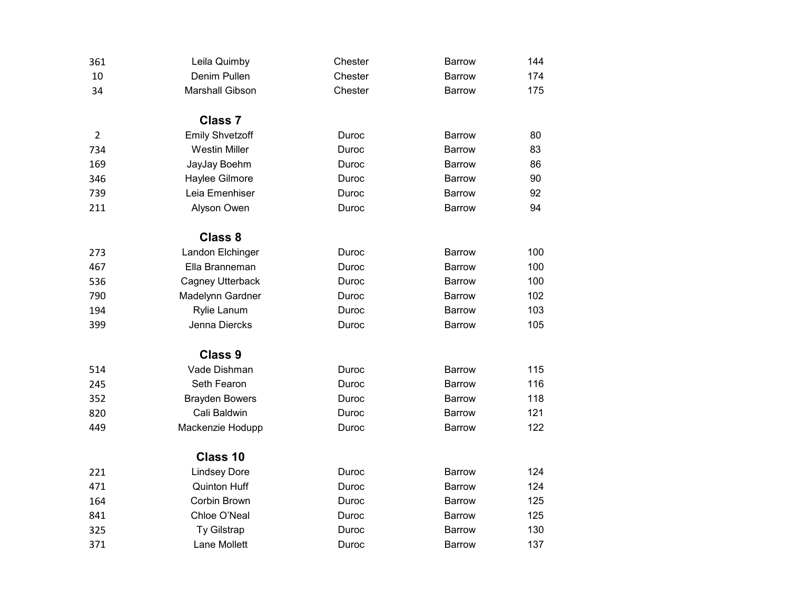| 361            | Leila Quimby           | Chester | <b>Barrow</b> | 144 |
|----------------|------------------------|---------|---------------|-----|
| 10             | Denim Pullen           | Chester | <b>Barrow</b> | 174 |
| 34             | <b>Marshall Gibson</b> | Chester | <b>Barrow</b> | 175 |
|                | <b>Class 7</b>         |         |               |     |
| $\overline{2}$ | <b>Emily Shvetzoff</b> | Duroc   | <b>Barrow</b> | 80  |
| 734            | <b>Westin Miller</b>   | Duroc   | <b>Barrow</b> | 83  |
| 169            | JayJay Boehm           | Duroc   | <b>Barrow</b> | 86  |
| 346            | Haylee Gilmore         | Duroc   | <b>Barrow</b> | 90  |
| 739            | Leia Emenhiser         | Duroc   | <b>Barrow</b> | 92  |
| 211            | Alyson Owen            | Duroc   | <b>Barrow</b> | 94  |
|                | <b>Class 8</b>         |         |               |     |
| 273            | Landon Elchinger       | Duroc   | <b>Barrow</b> | 100 |
| 467            | Ella Branneman         | Duroc   | <b>Barrow</b> | 100 |
| 536            | Cagney Utterback       | Duroc   | <b>Barrow</b> | 100 |
| 790            | Madelynn Gardner       | Duroc   | Barrow        | 102 |
| 194            | Rylie Lanum            | Duroc   | <b>Barrow</b> | 103 |
| 399            | Jenna Diercks          | Duroc   | <b>Barrow</b> | 105 |
|                | <b>Class 9</b>         |         |               |     |
| 514            | Vade Dishman           | Duroc   | <b>Barrow</b> | 115 |
| 245            | Seth Fearon            | Duroc   | <b>Barrow</b> | 116 |
| 352            | <b>Brayden Bowers</b>  | Duroc   | <b>Barrow</b> | 118 |
| 820            | Cali Baldwin           | Duroc   | Barrow        | 121 |
| 449            | Mackenzie Hodupp       | Duroc   | <b>Barrow</b> | 122 |
|                | Class 10               |         |               |     |
| 221            | <b>Lindsey Dore</b>    | Duroc   | <b>Barrow</b> | 124 |
| 471            | <b>Quinton Huff</b>    | Duroc   | <b>Barrow</b> | 124 |
| 164            | Corbin Brown           | Duroc   | <b>Barrow</b> | 125 |
| 841            | Chloe O'Neal           | Duroc   | Barrow        | 125 |
| 325            | Ty Gilstrap            | Duroc   | <b>Barrow</b> | 130 |
| 371            | Lane Mollett           | Duroc   | <b>Barrow</b> | 137 |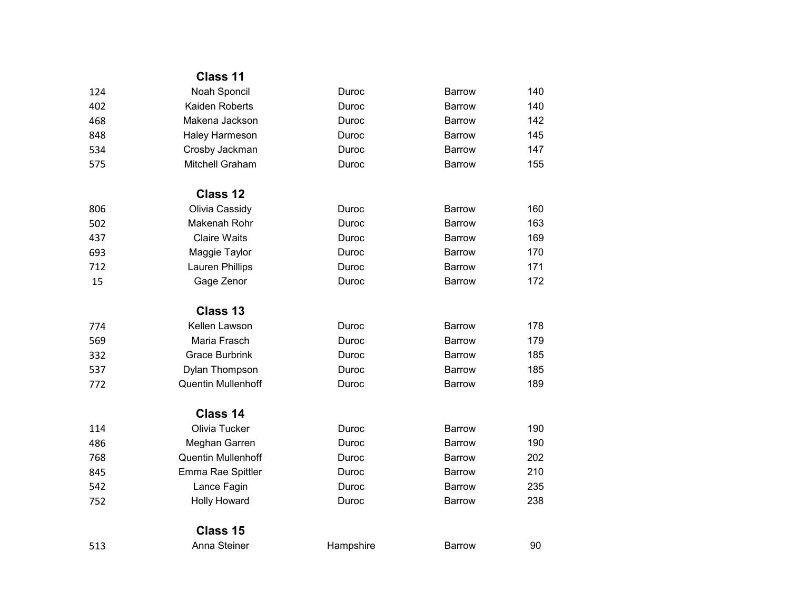|     | <b>Class 11</b>           |           |               |     |
|-----|---------------------------|-----------|---------------|-----|
| 124 | Noah Sponcil              | Duroc     | <b>Barrow</b> | 140 |
| 402 | Kaiden Roberts            | Duroc     | Barrow        | 140 |
| 468 | Makena Jackson            | Duroc     | <b>Barrow</b> | 142 |
| 848 | Haley Harmeson            | Duroc     | <b>Barrow</b> | 145 |
| 534 | Crosby Jackman            | Duroc     | <b>Barrow</b> | 147 |
| 575 | Mitchell Graham           | Duroc     | Barrow        | 155 |
|     | Class 12                  |           |               |     |
| 806 | Olivia Cassidy            | Duroc     | <b>Barrow</b> | 160 |
| 502 | Makenah Rohr              | Duroc     | <b>Barrow</b> | 163 |
| 437 | <b>Claire Waits</b>       | Duroc     | <b>Barrow</b> | 169 |
| 693 | Maggie Taylor             | Duroc     | Barrow        | 170 |
| 712 | Lauren Phillips           | Duroc     | <b>Barrow</b> | 171 |
| 15  | Gage Zenor                | Duroc     | <b>Barrow</b> | 172 |
|     | Class 13                  |           |               |     |
| 774 | Kellen Lawson             | Duroc     | <b>Barrow</b> | 178 |
| 569 | Maria Frasch              | Duroc     | <b>Barrow</b> | 179 |
| 332 | <b>Grace Burbrink</b>     | Duroc     | <b>Barrow</b> | 185 |
| 537 | Dylan Thompson            | Duroc     | Barrow        | 185 |
| 772 | <b>Quentin Mullenhoff</b> | Duroc     | <b>Barrow</b> | 189 |
|     | Class 14                  |           |               |     |
| 114 | Olivia Tucker             | Duroc     | <b>Barrow</b> | 190 |
| 486 | Meghan Garren             | Duroc     | <b>Barrow</b> | 190 |
| 768 | <b>Quentin Mullenhoff</b> | Duroc     | <b>Barrow</b> | 202 |
| 845 | Emma Rae Spittler         | Duroc     | Barrow        | 210 |
| 542 | Lance Fagin               | Duroc     | <b>Barrow</b> | 235 |
| 752 | <b>Holly Howard</b>       | Duroc     | <b>Barrow</b> | 238 |
|     | Class 15                  |           |               |     |
| 513 | Anna Steiner              | Hampshire | <b>Barrow</b> | 90  |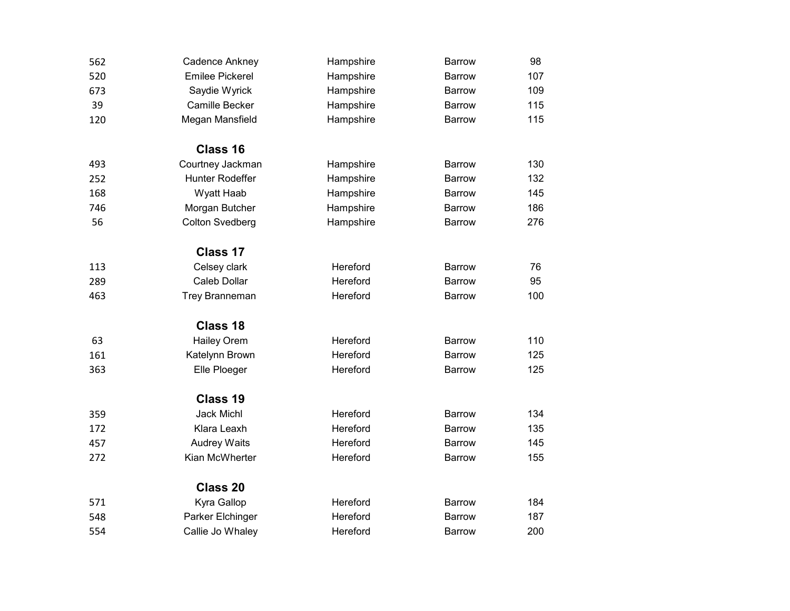| 562 | Cadence Ankney         | Hampshire | <b>Barrow</b> | 98  |
|-----|------------------------|-----------|---------------|-----|
| 520 | <b>Emilee Pickerel</b> | Hampshire | <b>Barrow</b> | 107 |
| 673 | Saydie Wyrick          | Hampshire | Barrow        | 109 |
| 39  | Camille Becker         | Hampshire | <b>Barrow</b> | 115 |
| 120 | Megan Mansfield        | Hampshire | <b>Barrow</b> | 115 |
|     | Class 16               |           |               |     |
| 493 | Courtney Jackman       | Hampshire | <b>Barrow</b> | 130 |
| 252 | Hunter Rodeffer        | Hampshire | <b>Barrow</b> | 132 |
| 168 | Wyatt Haab             | Hampshire | <b>Barrow</b> | 145 |
| 746 | Morgan Butcher         | Hampshire | <b>Barrow</b> | 186 |
| 56  | <b>Colton Svedberg</b> | Hampshire | <b>Barrow</b> | 276 |
|     | Class 17               |           |               |     |
| 113 | Celsey clark           | Hereford  | <b>Barrow</b> | 76  |
| 289 | <b>Caleb Dollar</b>    | Hereford  | <b>Barrow</b> | 95  |
| 463 | Trey Branneman         | Hereford  | <b>Barrow</b> | 100 |
|     | Class 18               |           |               |     |
| 63  | <b>Hailey Orem</b>     | Hereford  | <b>Barrow</b> | 110 |
| 161 | Katelynn Brown         | Hereford  | <b>Barrow</b> | 125 |
| 363 | Elle Ploeger           | Hereford  | <b>Barrow</b> | 125 |
|     | <b>Class 19</b>        |           |               |     |
| 359 | <b>Jack Michl</b>      | Hereford  | <b>Barrow</b> | 134 |
| 172 | Klara Leaxh            | Hereford  | <b>Barrow</b> | 135 |
| 457 | <b>Audrey Waits</b>    | Hereford  | <b>Barrow</b> | 145 |
| 272 | Kian McWherter         | Hereford  | <b>Barrow</b> | 155 |
|     | Class 20               |           |               |     |
| 571 | Kyra Gallop            | Hereford  | <b>Barrow</b> | 184 |
| 548 | Parker Elchinger       | Hereford  | <b>Barrow</b> | 187 |
| 554 | Callie Jo Whaley       | Hereford  | Barrow        | 200 |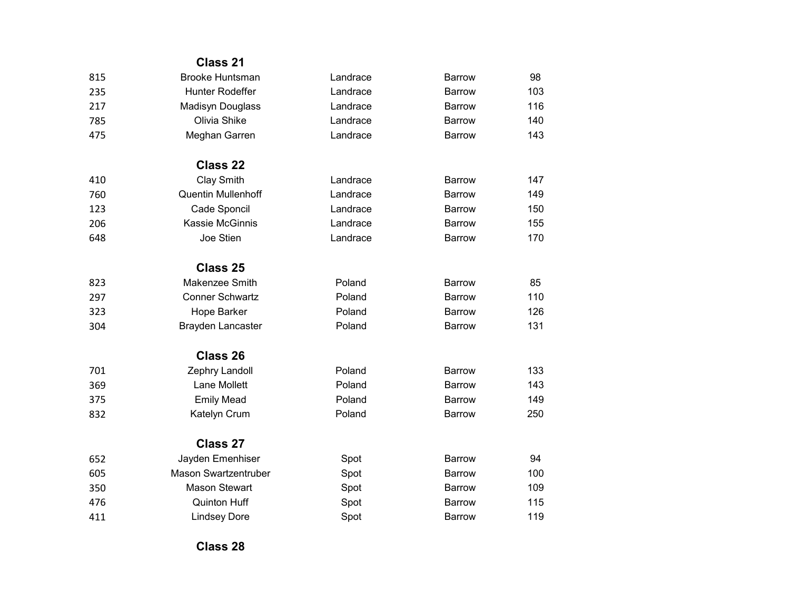|     | <b>Class 21</b>             |          |               |     |
|-----|-----------------------------|----------|---------------|-----|
| 815 | <b>Brooke Huntsman</b>      | Landrace | <b>Barrow</b> | 98  |
| 235 | Hunter Rodeffer             | Landrace | <b>Barrow</b> | 103 |
| 217 | Madisyn Douglass            | Landrace | <b>Barrow</b> | 116 |
| 785 | Olivia Shike                | Landrace | Barrow        | 140 |
| 475 | Meghan Garren               | Landrace | <b>Barrow</b> | 143 |
|     | <b>Class 22</b>             |          |               |     |
| 410 | <b>Clay Smith</b>           | Landrace | <b>Barrow</b> | 147 |
| 760 | <b>Quentin Mullenhoff</b>   | Landrace | <b>Barrow</b> | 149 |
| 123 | Cade Sponcil                | Landrace | <b>Barrow</b> | 150 |
| 206 | Kassie McGinnis             | Landrace | <b>Barrow</b> | 155 |
| 648 | Joe Stien                   | Landrace | <b>Barrow</b> | 170 |
|     | Class 25                    |          |               |     |
| 823 | Makenzee Smith              | Poland   | <b>Barrow</b> | 85  |
| 297 | <b>Conner Schwartz</b>      | Poland   | <b>Barrow</b> | 110 |
| 323 | Hope Barker                 | Poland   | <b>Barrow</b> | 126 |
| 304 | <b>Brayden Lancaster</b>    | Poland   | <b>Barrow</b> | 131 |
|     | <b>Class 26</b>             |          |               |     |
| 701 | Zephry Landoll              | Poland   | <b>Barrow</b> | 133 |
| 369 | Lane Mollett                | Poland   | Barrow        | 143 |
| 375 | <b>Emily Mead</b>           | Poland   | <b>Barrow</b> | 149 |
| 832 | Katelyn Crum                | Poland   | <b>Barrow</b> | 250 |
|     | <b>Class 27</b>             |          |               |     |
| 652 | Jayden Emenhiser            | Spot     | <b>Barrow</b> | 94  |
| 605 | <b>Mason Swartzentruber</b> | Spot     | <b>Barrow</b> | 100 |
| 350 | <b>Mason Stewart</b>        | Spot     | <b>Barrow</b> | 109 |
| 476 | <b>Quinton Huff</b>         | Spot     | Barrow        | 115 |
| 411 | <b>Lindsey Dore</b>         | Spot     | <b>Barrow</b> | 119 |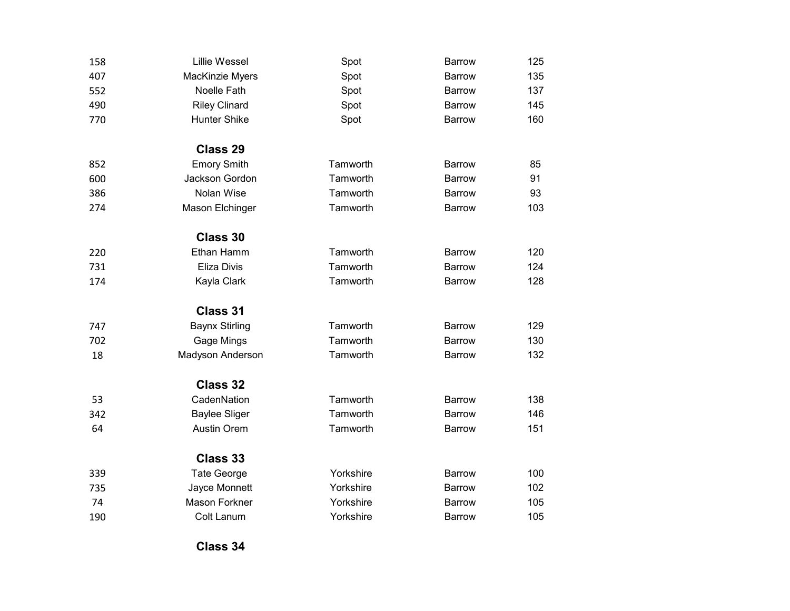| 158 | <b>Lillie Wessel</b>  | Spot      | <b>Barrow</b> | 125 |
|-----|-----------------------|-----------|---------------|-----|
| 407 | MacKinzie Myers       | Spot      | <b>Barrow</b> | 135 |
| 552 | Noelle Fath           | Spot      | <b>Barrow</b> | 137 |
| 490 | <b>Riley Clinard</b>  | Spot      | <b>Barrow</b> | 145 |
| 770 | <b>Hunter Shike</b>   | Spot      | <b>Barrow</b> | 160 |
|     | <b>Class 29</b>       |           |               |     |
| 852 | <b>Emory Smith</b>    | Tamworth  | <b>Barrow</b> | 85  |
| 600 | Jackson Gordon        | Tamworth  | <b>Barrow</b> | 91  |
| 386 | Nolan Wise            | Tamworth  | <b>Barrow</b> | 93  |
| 274 | Mason Elchinger       | Tamworth  | <b>Barrow</b> | 103 |
|     | Class 30              |           |               |     |
| 220 | Ethan Hamm            | Tamworth  | <b>Barrow</b> | 120 |
| 731 | Eliza Divis           | Tamworth  | <b>Barrow</b> | 124 |
| 174 | Kayla Clark           | Tamworth  | <b>Barrow</b> | 128 |
|     | <b>Class 31</b>       |           |               |     |
| 747 | <b>Baynx Stirling</b> | Tamworth  | <b>Barrow</b> | 129 |
| 702 | Gage Mings            | Tamworth  | <b>Barrow</b> | 130 |
| 18  | Madyson Anderson      | Tamworth  | <b>Barrow</b> | 132 |
|     | Class 32              |           |               |     |
| 53  | CadenNation           | Tamworth  | <b>Barrow</b> | 138 |
| 342 | <b>Baylee Sliger</b>  | Tamworth  | <b>Barrow</b> | 146 |
| 64  | <b>Austin Orem</b>    | Tamworth  | <b>Barrow</b> | 151 |
|     | Class 33              |           |               |     |
| 339 | <b>Tate George</b>    | Yorkshire | <b>Barrow</b> | 100 |
| 735 | Jayce Monnett         | Yorkshire | <b>Barrow</b> | 102 |
| 74  | <b>Mason Forkner</b>  | Yorkshire | <b>Barrow</b> | 105 |
| 190 | <b>Colt Lanum</b>     | Yorkshire | <b>Barrow</b> | 105 |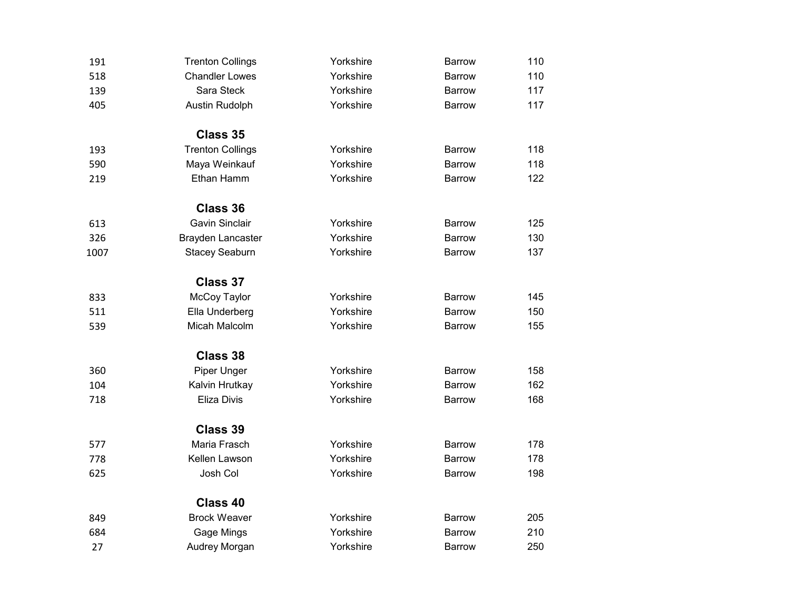| 191  | <b>Trenton Collings</b>  | Yorkshire | <b>Barrow</b> | 110 |
|------|--------------------------|-----------|---------------|-----|
| 518  | <b>Chandler Lowes</b>    | Yorkshire | <b>Barrow</b> | 110 |
| 139  | Sara Steck               | Yorkshire | <b>Barrow</b> | 117 |
| 405  | Austin Rudolph           | Yorkshire | <b>Barrow</b> | 117 |
|      | Class 35                 |           |               |     |
| 193  | <b>Trenton Collings</b>  | Yorkshire | <b>Barrow</b> | 118 |
| 590  | Maya Weinkauf            | Yorkshire | Barrow        | 118 |
| 219  | Ethan Hamm               | Yorkshire | <b>Barrow</b> | 122 |
|      | Class 36                 |           |               |     |
| 613  | <b>Gavin Sinclair</b>    | Yorkshire | <b>Barrow</b> | 125 |
| 326  | <b>Brayden Lancaster</b> | Yorkshire | Barrow        | 130 |
| 1007 | <b>Stacey Seaburn</b>    | Yorkshire | <b>Barrow</b> | 137 |
|      | <b>Class 37</b>          |           |               |     |
| 833  | McCoy Taylor             | Yorkshire | <b>Barrow</b> | 145 |
| 511  | Ella Underberg           | Yorkshire | Barrow        | 150 |
| 539  | Micah Malcolm            | Yorkshire | <b>Barrow</b> | 155 |
|      | Class 38                 |           |               |     |
| 360  | Piper Unger              | Yorkshire | <b>Barrow</b> | 158 |
| 104  | Kalvin Hrutkay           | Yorkshire | <b>Barrow</b> | 162 |
| 718  | Eliza Divis              | Yorkshire | <b>Barrow</b> | 168 |
|      | <b>Class 39</b>          |           |               |     |
| 577  | Maria Frasch             | Yorkshire | <b>Barrow</b> | 178 |
| 778  | Kellen Lawson            | Yorkshire | <b>Barrow</b> | 178 |
| 625  | Josh Col                 | Yorkshire | <b>Barrow</b> | 198 |
|      | Class 40                 |           |               |     |
| 849  | <b>Brock Weaver</b>      | Yorkshire | <b>Barrow</b> | 205 |
| 684  | Gage Mings               | Yorkshire | <b>Barrow</b> | 210 |
| 27   | Audrey Morgan            | Yorkshire | <b>Barrow</b> | 250 |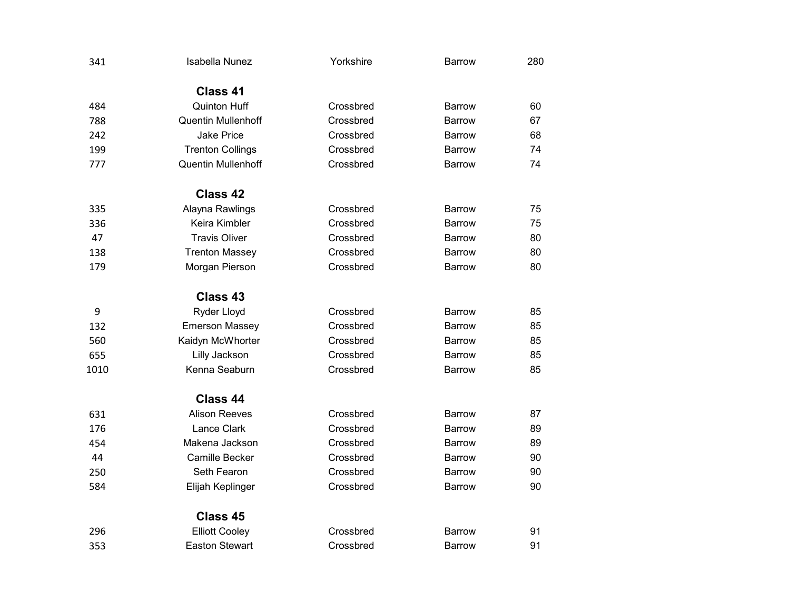| 341  | <b>Isabella Nunez</b>     | Yorkshire | <b>Barrow</b> | 280 |
|------|---------------------------|-----------|---------------|-----|
|      | Class 41                  |           |               |     |
| 484  | <b>Quinton Huff</b>       | Crossbred | Barrow        | 60  |
| 788  | <b>Quentin Mullenhoff</b> | Crossbred | Barrow        | 67  |
| 242  | <b>Jake Price</b>         | Crossbred | <b>Barrow</b> | 68  |
| 199  | <b>Trenton Collings</b>   | Crossbred | <b>Barrow</b> | 74  |
| 777  | <b>Quentin Mullenhoff</b> | Crossbred | Barrow        | 74  |
|      | Class 42                  |           |               |     |
| 335  | Alayna Rawlings           | Crossbred | <b>Barrow</b> | 75  |
| 336  | Keira Kimbler             | Crossbred | <b>Barrow</b> | 75  |
| 47   | <b>Travis Oliver</b>      | Crossbred | <b>Barrow</b> | 80  |
| 138  | <b>Trenton Massey</b>     | Crossbred | <b>Barrow</b> | 80  |
| 179  | Morgan Pierson            | Crossbred | <b>Barrow</b> | 80  |
|      | Class 43                  |           |               |     |
| 9    | Ryder Lloyd               | Crossbred | Barrow        | 85  |
| 132  | <b>Emerson Massey</b>     | Crossbred | Barrow        | 85  |
| 560  | Kaidyn McWhorter          | Crossbred | Barrow        | 85  |
| 655  | Lilly Jackson             | Crossbred | Barrow        | 85  |
| 1010 | Kenna Seaburn             | Crossbred | <b>Barrow</b> | 85  |
|      | Class 44                  |           |               |     |
| 631  | <b>Alison Reeves</b>      | Crossbred | <b>Barrow</b> | 87  |
| 176  | Lance Clark               | Crossbred | <b>Barrow</b> | 89  |
| 454  | Makena Jackson            | Crossbred | <b>Barrow</b> | 89  |
| 44   | <b>Camille Becker</b>     | Crossbred | <b>Barrow</b> | 90  |
| 250  | Seth Fearon               | Crossbred | <b>Barrow</b> | 90  |
| 584  | Elijah Keplinger          | Crossbred | Barrow        | 90  |
|      | Class 45                  |           |               |     |
| 296  | <b>Elliott Cooley</b>     | Crossbred | Barrow        | 91  |
| 353  | <b>Easton Stewart</b>     | Crossbred | <b>Barrow</b> | 91  |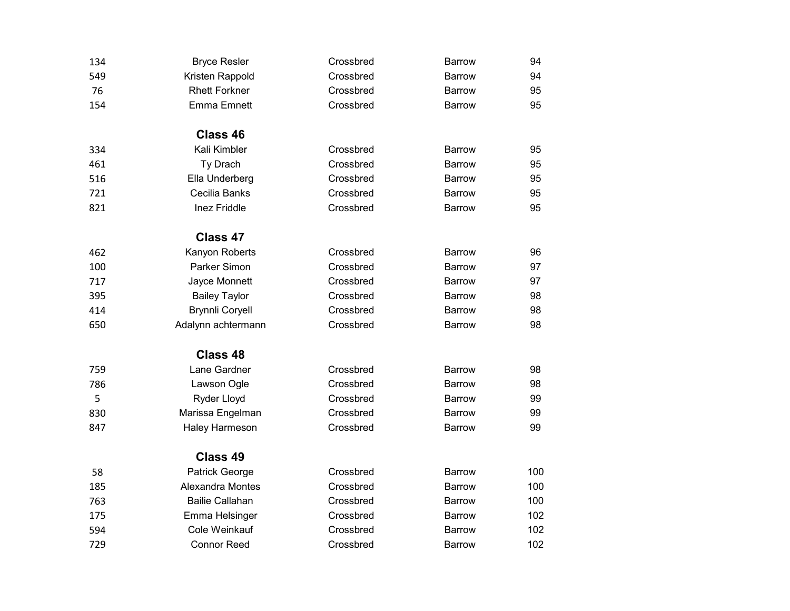| 134 | <b>Bryce Resler</b>    | Crossbred | <b>Barrow</b> | 94  |
|-----|------------------------|-----------|---------------|-----|
| 549 | Kristen Rappold        | Crossbred | <b>Barrow</b> | 94  |
| 76  | <b>Rhett Forkner</b>   | Crossbred | <b>Barrow</b> | 95  |
| 154 | <b>Emma Emnett</b>     | Crossbred | <b>Barrow</b> | 95  |
|     | Class 46               |           |               |     |
| 334 | Kali Kimbler           | Crossbred | <b>Barrow</b> | 95  |
| 461 | Ty Drach               | Crossbred | <b>Barrow</b> | 95  |
| 516 | Ella Underberg         | Crossbred | <b>Barrow</b> | 95  |
| 721 | Cecilia Banks          | Crossbred | <b>Barrow</b> | 95  |
| 821 | Inez Friddle           | Crossbred | <b>Barrow</b> | 95  |
|     | Class 47               |           |               |     |
| 462 | Kanyon Roberts         | Crossbred | <b>Barrow</b> | 96  |
| 100 | Parker Simon           | Crossbred | <b>Barrow</b> | 97  |
| 717 | Jayce Monnett          | Crossbred | Barrow        | 97  |
| 395 | <b>Bailey Taylor</b>   | Crossbred | <b>Barrow</b> | 98  |
| 414 | <b>Brynnli Coryell</b> | Crossbred | <b>Barrow</b> | 98  |
| 650 | Adalynn achtermann     | Crossbred | <b>Barrow</b> | 98  |
|     | Class 48               |           |               |     |
| 759 | Lane Gardner           | Crossbred | <b>Barrow</b> | 98  |
| 786 | Lawson Ogle            | Crossbred | <b>Barrow</b> | 98  |
| 5   | Ryder Lloyd            | Crossbred | <b>Barrow</b> | 99  |
| 830 | Marissa Engelman       | Crossbred | <b>Barrow</b> | 99  |
| 847 | Haley Harmeson         | Crossbred | <b>Barrow</b> | 99  |
|     | Class 49               |           |               |     |
| 58  | Patrick George         | Crossbred | <b>Barrow</b> | 100 |
| 185 | Alexandra Montes       | Crossbred | Barrow        | 100 |
| 763 | <b>Bailie Callahan</b> | Crossbred | <b>Barrow</b> | 100 |
| 175 | Emma Helsinger         | Crossbred | <b>Barrow</b> | 102 |
| 594 | Cole Weinkauf          | Crossbred | <b>Barrow</b> | 102 |
| 729 | <b>Connor Reed</b>     | Crossbred | <b>Barrow</b> | 102 |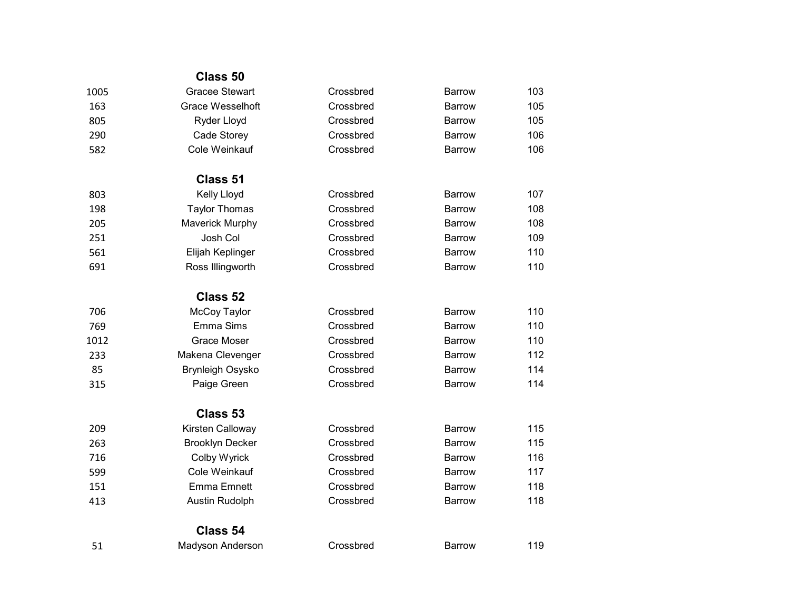|      | Class 50                |           |               |     |
|------|-------------------------|-----------|---------------|-----|
| 1005 | <b>Gracee Stewart</b>   | Crossbred | <b>Barrow</b> | 103 |
| 163  | <b>Grace Wesselhoft</b> | Crossbred | Barrow        | 105 |
| 805  | Ryder Lloyd             | Crossbred | Barrow        | 105 |
| 290  | Cade Storey             | Crossbred | Barrow        | 106 |
| 582  | Cole Weinkauf           | Crossbred | <b>Barrow</b> | 106 |
|      | Class 51                |           |               |     |
| 803  | <b>Kelly Lloyd</b>      | Crossbred | Barrow        | 107 |
| 198  | <b>Taylor Thomas</b>    | Crossbred | <b>Barrow</b> | 108 |
| 205  | Maverick Murphy         | Crossbred | Barrow        | 108 |
| 251  | Josh Col                | Crossbred | <b>Barrow</b> | 109 |
| 561  | Elijah Keplinger        | Crossbred | <b>Barrow</b> | 110 |
| 691  | Ross Illingworth        | Crossbred | <b>Barrow</b> | 110 |
|      | Class 52                |           |               |     |
| 706  | McCoy Taylor            | Crossbred | Barrow        | 110 |
| 769  | Emma Sims               | Crossbred | Barrow        | 110 |
| 1012 | <b>Grace Moser</b>      | Crossbred | <b>Barrow</b> | 110 |
| 233  | Makena Clevenger        | Crossbred | <b>Barrow</b> | 112 |
| 85   | <b>Brynleigh Osysko</b> | Crossbred | <b>Barrow</b> | 114 |
| 315  | Paige Green             | Crossbred | <b>Barrow</b> | 114 |
|      | Class 53                |           |               |     |
| 209  | Kirsten Calloway        | Crossbred | <b>Barrow</b> | 115 |
| 263  | <b>Brooklyn Decker</b>  | Crossbred | <b>Barrow</b> | 115 |
| 716  | Colby Wyrick            | Crossbred | <b>Barrow</b> | 116 |
| 599  | Cole Weinkauf           | Crossbred | <b>Barrow</b> | 117 |
| 151  | <b>Emma Emnett</b>      | Crossbred | <b>Barrow</b> | 118 |
| 413  | Austin Rudolph          | Crossbred | <b>Barrow</b> | 118 |
|      | Class 54                |           |               |     |
| 51   | Madyson Anderson        | Crossbred | <b>Barrow</b> | 119 |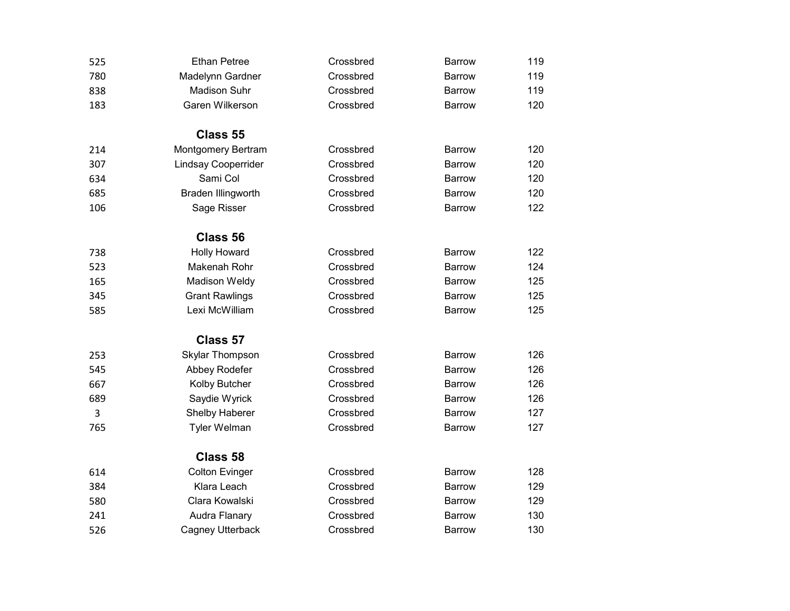| 525 | <b>Ethan Petree</b>        | Crossbred | <b>Barrow</b> | 119 |
|-----|----------------------------|-----------|---------------|-----|
| 780 | Madelynn Gardner           | Crossbred | <b>Barrow</b> | 119 |
| 838 | <b>Madison Suhr</b>        | Crossbred | <b>Barrow</b> | 119 |
| 183 | Garen Wilkerson            | Crossbred | <b>Barrow</b> | 120 |
|     | Class 55                   |           |               |     |
| 214 | Montgomery Bertram         | Crossbred | <b>Barrow</b> | 120 |
| 307 | <b>Lindsay Cooperrider</b> | Crossbred | <b>Barrow</b> | 120 |
| 634 | Sami Col                   | Crossbred | <b>Barrow</b> | 120 |
| 685 | Braden Illingworth         | Crossbred | <b>Barrow</b> | 120 |
| 106 | Sage Risser                | Crossbred | <b>Barrow</b> | 122 |
|     | Class 56                   |           |               |     |
| 738 | <b>Holly Howard</b>        | Crossbred | <b>Barrow</b> | 122 |
| 523 | Makenah Rohr               | Crossbred | <b>Barrow</b> | 124 |
| 165 | <b>Madison Weldy</b>       | Crossbred | <b>Barrow</b> | 125 |
| 345 | <b>Grant Rawlings</b>      | Crossbred | <b>Barrow</b> | 125 |
| 585 | Lexi McWilliam             | Crossbred | <b>Barrow</b> | 125 |
|     | Class 57                   |           |               |     |
| 253 | <b>Skylar Thompson</b>     | Crossbred | <b>Barrow</b> | 126 |
| 545 | Abbey Rodefer              | Crossbred | <b>Barrow</b> | 126 |
| 667 | Kolby Butcher              | Crossbred | <b>Barrow</b> | 126 |
| 689 | Saydie Wyrick              | Crossbred | <b>Barrow</b> | 126 |
| 3   | Shelby Haberer             | Crossbred | <b>Barrow</b> | 127 |
| 765 | <b>Tyler Welman</b>        | Crossbred | <b>Barrow</b> | 127 |
|     | Class 58                   |           |               |     |
| 614 | <b>Colton Evinger</b>      | Crossbred | <b>Barrow</b> | 128 |
| 384 | Klara Leach                | Crossbred | <b>Barrow</b> | 129 |
| 580 | Clara Kowalski             | Crossbred | Barrow        | 129 |
| 241 | Audra Flanary              | Crossbred | <b>Barrow</b> | 130 |
| 526 | Cagney Utterback           | Crossbred | <b>Barrow</b> | 130 |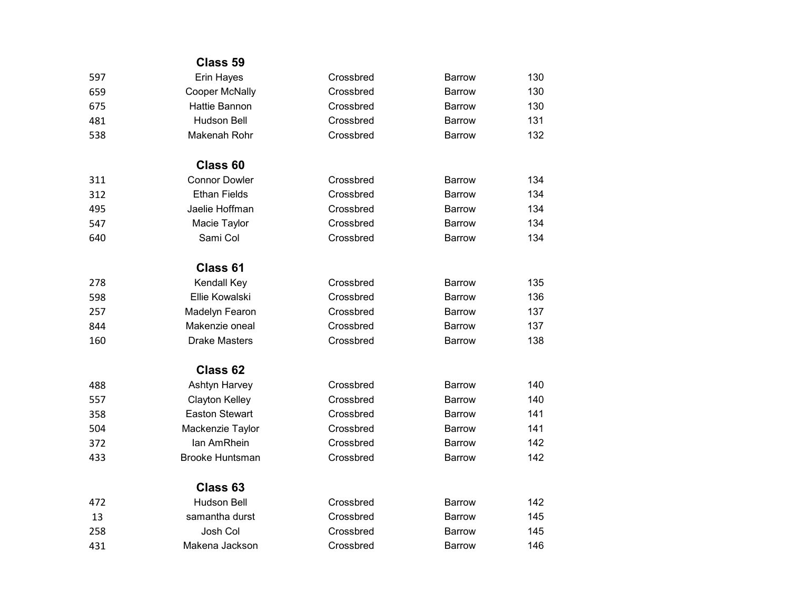|     | Class 59               |           |               |     |
|-----|------------------------|-----------|---------------|-----|
| 597 | Erin Hayes             | Crossbred | <b>Barrow</b> | 130 |
| 659 | Cooper McNally         | Crossbred | <b>Barrow</b> | 130 |
| 675 | <b>Hattie Bannon</b>   | Crossbred | <b>Barrow</b> | 130 |
| 481 | <b>Hudson Bell</b>     | Crossbred | Barrow        | 131 |
| 538 | Makenah Rohr           | Crossbred | <b>Barrow</b> | 132 |
|     | Class <sub>60</sub>    |           |               |     |
| 311 | <b>Connor Dowler</b>   | Crossbred | <b>Barrow</b> | 134 |
| 312 | <b>Ethan Fields</b>    | Crossbred | <b>Barrow</b> | 134 |
| 495 | Jaelie Hoffman         | Crossbred | <b>Barrow</b> | 134 |
| 547 | Macie Taylor           | Crossbred | <b>Barrow</b> | 134 |
| 640 | Sami Col               | Crossbred | <b>Barrow</b> | 134 |
|     | Class 61               |           |               |     |
| 278 | Kendall Key            | Crossbred | <b>Barrow</b> | 135 |
| 598 | <b>Ellie Kowalski</b>  | Crossbred | Barrow        | 136 |
| 257 | Madelyn Fearon         | Crossbred | <b>Barrow</b> | 137 |
| 844 | Makenzie oneal         | Crossbred | Barrow        | 137 |
| 160 | <b>Drake Masters</b>   | Crossbred | <b>Barrow</b> | 138 |
|     | Class 62               |           |               |     |
| 488 | Ashtyn Harvey          | Crossbred | <b>Barrow</b> | 140 |
| 557 | Clayton Kelley         | Crossbred | <b>Barrow</b> | 140 |
| 358 | <b>Easton Stewart</b>  | Crossbred | <b>Barrow</b> | 141 |
| 504 | Mackenzie Taylor       | Crossbred | <b>Barrow</b> | 141 |
| 372 | Ian AmRhein            | Crossbred | Barrow        | 142 |
| 433 | <b>Brooke Huntsman</b> | Crossbred | <b>Barrow</b> | 142 |
|     | Class 63               |           |               |     |
| 472 | <b>Hudson Bell</b>     | Crossbred | <b>Barrow</b> | 142 |
| 13  | samantha durst         | Crossbred | <b>Barrow</b> | 145 |
| 258 | Josh Col               | Crossbred | <b>Barrow</b> | 145 |
| 431 | Makena Jackson         | Crossbred | <b>Barrow</b> | 146 |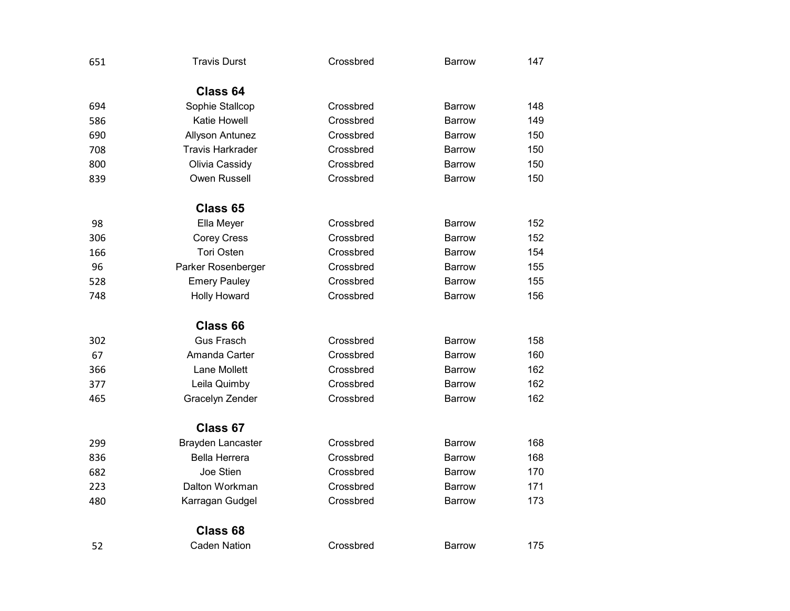| 651 | <b>Travis Durst</b>      | Crossbred | <b>Barrow</b>                                                                                      | 147 |
|-----|--------------------------|-----------|----------------------------------------------------------------------------------------------------|-----|
|     | Class 64                 |           |                                                                                                    |     |
| 694 | Sophie Stallcop          | Crossbred | Barrow                                                                                             | 148 |
| 586 | Katie Howell             | Crossbred | <b>Barrow</b>                                                                                      | 149 |
| 690 | Allyson Antunez          | Crossbred | <b>Barrow</b>                                                                                      | 150 |
| 708 | <b>Travis Harkrader</b>  | Crossbred | <b>Barrow</b>                                                                                      | 150 |
| 800 | Olivia Cassidy           | Crossbred | <b>Barrow</b>                                                                                      | 150 |
| 839 | Owen Russell             | Crossbred | Barrow                                                                                             | 150 |
|     | Class 65                 |           |                                                                                                    |     |
| 98  | Ella Meyer               | Crossbred | <b>Barrow</b>                                                                                      | 152 |
| 306 | <b>Corey Cress</b>       | Crossbred | <b>Barrow</b>                                                                                      | 152 |
| 166 | <b>Tori Osten</b>        | Crossbred | Barrow                                                                                             | 154 |
| 96  | Parker Rosenberger       | Crossbred | <b>Barrow</b>                                                                                      | 155 |
| 528 | <b>Emery Pauley</b>      | Crossbred | <b>Barrow</b>                                                                                      | 155 |
| 748 | <b>Holly Howard</b>      | Crossbred | <b>Barrow</b>                                                                                      | 156 |
|     | Class 66                 |           |                                                                                                    |     |
| 302 | <b>Gus Frasch</b>        | Crossbred | <b>Barrow</b>                                                                                      | 158 |
| 67  | Amanda Carter            | Crossbred | <b>Barrow</b>                                                                                      | 160 |
| 366 | Lane Mollett             | Crossbred | <b>Barrow</b>                                                                                      | 162 |
| 377 | Leila Quimby             | Crossbred | <b>Barrow</b>                                                                                      | 162 |
| 465 | Gracelyn Zender          | Crossbred | <b>Barrow</b>                                                                                      | 162 |
|     | Class 67                 |           | <b>Barrow</b><br><b>Barrow</b><br><b>Barrow</b><br><b>Barrow</b><br><b>Barrow</b><br><b>Barrow</b> |     |
| 299 | <b>Brayden Lancaster</b> | Crossbred |                                                                                                    | 168 |
| 836 | <b>Bella Herrera</b>     | Crossbred |                                                                                                    | 168 |
| 682 | Joe Stien                | Crossbred |                                                                                                    | 170 |
| 223 | Dalton Workman           | Crossbred |                                                                                                    | 171 |
| 480 | Karragan Gudgel          | Crossbred |                                                                                                    | 173 |
|     | Class <sub>68</sub>      |           |                                                                                                    |     |
| 52  | <b>Caden Nation</b>      | Crossbred |                                                                                                    | 175 |